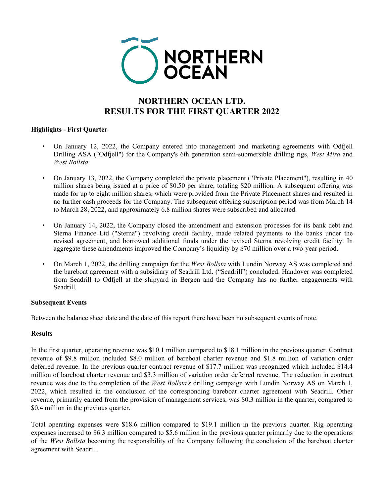

# **NORTHERN OCEAN LTD. RESULTS FOR THE FIRST QUARTER 2022**

# **Highlights - First Quarter**

- On January 12, 2022, the Company entered into management and marketing agreements with Odfjell Drilling ASA ("Odfjell") for the Company's 6th generation semi-submersible drilling rigs, *West Mira* and *West Bollsta*.
- On January 13, 2022, the Company completed the private placement ("Private Placement"), resulting in 40 million shares being issued at a price of \$0.50 per share, totaling \$20 million. A subsequent offering was made for up to eight million shares, which were provided from the Private Placement shares and resulted in no further cash proceeds for the Company. The subsequent offering subscription period was from March 14 to March 28, 2022, and approximately 6.8 million shares were subscribed and allocated.
- On January 14, 2022, the Company closed the amendment and extension processes for its bank debt and Sterna Finance Ltd ("Sterna") revolving credit facility, made related payments to the banks under the revised agreement, and borrowed additional funds under the revised Sterna revolving credit facility. In aggregate these amendments improved the Company's liquidity by \$70 million over a two-year period.
- On March 1, 2022, the drilling campaign for the *West Bollsta* with Lundin Norway AS was completed and the bareboat agreement with a subsidiary of Seadrill Ltd. ("Seadrill") concluded. Handover was completed from Seadrill to Odfjell at the shipyard in Bergen and the Company has no further engagements with Seadrill.

# **Subsequent Events**

Between the balance sheet date and the date of this report there have been no subsequent events of note.

# **Results**

In the first quarter, operating revenue was \$10.1 million compared to \$18.1 million in the previous quarter. Contract revenue of \$9.8 million included \$8.0 million of bareboat charter revenue and \$1.8 million of variation order deferred revenue. In the previous quarter contract revenue of \$17.7 million was recognized which included \$14.4 million of bareboat charter revenue and \$3.3 million of variation order deferred revenue. The reduction in contract revenue was due to the completion of the *West Bollsta's* drilling campaign with Lundin Norway AS on March 1, 2022, which resulted in the conclusion of the corresponding bareboat charter agreement with Seadrill. Other revenue, primarily earned from the provision of management services, was \$0.3 million in the quarter, compared to \$0.4 million in the previous quarter.

Total operating expenses were \$18.6 million compared to \$19.1 million in the previous quarter. Rig operating expenses increased to \$6.3 million compared to \$5.6 million in the previous quarter primarily due to the operations of the *West Bollsta* becoming the responsibility of the Company following the conclusion of the bareboat charter agreement with Seadrill.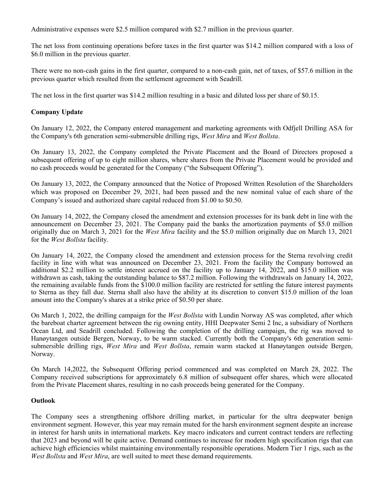Administrative expenses were \$2.5 million compared with \$2.7 million in the previous quarter.

The net loss from continuing operations before taxes in the first quarter was \$14.2 million compared with a loss of \$6.0 million in the previous quarter.

There were no non-cash gains in the first quarter, compared to a non-cash gain, net of taxes, of \$57.6 million in the previous quarter which resulted from the settlement agreement with Seadrill.

The net loss in the first quarter was \$14.2 million resulting in a basic and diluted loss per share of \$0.15.

# **Company Update**

On January 12, 2022, the Company entered management and marketing agreements with Odfjell Drilling ASA for the Company's 6th generation semi-submersible drilling rigs, *West Mira* and *West Bollsta*.

On January 13, 2022, the Company completed the Private Placement and the Board of Directors proposed a subsequent offering of up to eight million shares, where shares from the Private Placement would be provided and no cash proceeds would be generated for the Company ("the Subsequent Offering").

On January 13, 2022, the Company announced that the Notice of Proposed Written Resolution of the Shareholders which was proposed on December 29, 2021, had been passed and the new nominal value of each share of the Company's issued and authorized share capital reduced from \$1.00 to \$0.50.

On January 14, 2022, the Company closed the amendment and extension processes for its bank debt in line with the announcement on December 23, 2021. The Company paid the banks the amortization payments of \$5.0 million originally due on March 3, 2021 for the *West Mira* facility and the \$5.0 million originally due on March 13, 2021 for the *West Bollsta* facility.

On January 14, 2022, the Company closed the amendment and extension process for the Sterna revolving credit facility in line with what was announced on December 23, 2021. From the facility the Company borrowed an additional \$2.2 million to settle interest accrued on the facility up to January 14, 2022, and \$15.0 million was withdrawn as cash, taking the outstanding balance to \$87.2 million. Following the withdrawals on January 14, 2022, the remaining available funds from the \$100.0 million facility are restricted for settling the future interest payments to Sterna as they fall due. Sterna shall also have the ability at its discretion to convert \$15.0 million of the loan amount into the Company's shares at a strike price of \$0.50 per share.

On March 1, 2022, the drilling campaign for the *West Bollsta* with Lundin Norway AS was completed, after which the bareboat charter agreement between the rig owning entity, HHI Deepwater Semi 2 Inc, a subsidiary of Northern Ocean Ltd, and Seadrill concluded. Following the completion of the drilling campaign, the rig was moved to Hanøytangen outside Bergen, Norway, to be warm stacked. Currently both the Company's 6th generation semisubmersible drilling rigs, *West Mira* and *West Bollsta*, remain warm stacked at Hanøytangen outside Bergen, Norway.

On March 14,2022, the Subsequent Offering period commenced and was completed on March 28, 2022. The Company received subscriptions for approximately 6.8 million of subsequent offer shares, which were allocated from the Private Placement shares, resulting in no cash proceeds being generated for the Company.

# **Outlook**

The Company sees a strengthening offshore drilling market, in particular for the ultra deepwater benign environment segment. However, this year may remain muted for the harsh environment segment despite an increase in interest for harsh units in international markets. Key macro indicators and current contract tenders are reflecting that 2023 and beyond will be quite active. Demand continues to increase for modern high specification rigs that can achieve high efficiencies whilst maintaining environmentally responsible operations. Modern Tier 1 rigs, such as the *West Bollsta* and *West Mira*, are well suited to meet these demand requirements.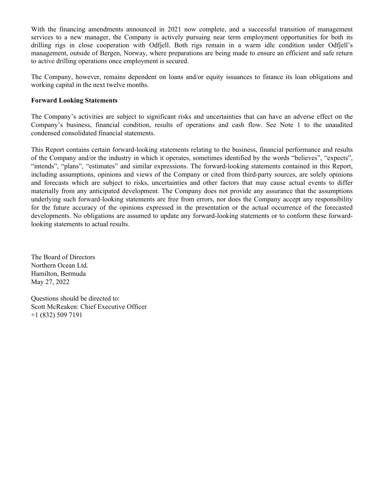With the financing amendments announced in 2021 now complete, and a successful transition of management services to a new manager, the Company is actively pursuing near term employment opportunities for both its drilling rigs in close cooperation with Odfjell. Both rigs remain in a warm idle condition under Odfjell's management, outside of Bergen, Norway, where preparations are being made to ensure an efficient and safe return to active drilling operations once employment is secured.

The Company, however, remains dependent on loans and/or equity issuances to finance its loan obligations and working capital in the next twelve months.

# **Forward Looking Statements**

The Company's activities are subject to significant risks and uncertainties that can have an adverse effect on the Company's business, financial condition, results of operations and cash flow. See Note 1 to the unaudited condensed consolidated financial statements.

This Report contains certain forward-looking statements relating to the business, financial performance and results of the Company and/or the industry in which it operates, sometimes identified by the words "believes", "expects", "intends", "plans", "estimates" and similar expressions. The forward-looking statements contained in this Report, including assumptions, opinions and views of the Company or cited from third-party sources, are solely opinions and forecasts which are subject to risks, uncertainties and other factors that may cause actual events to differ materially from any anticipated development. The Company does not provide any assurance that the assumptions underlying such forward-looking statements are free from errors, nor does the Company accept any responsibility for the future accuracy of the opinions expressed in the presentation or the actual occurrence of the forecasted developments. No obligations are assumed to update any forward-looking statements or to conform these forwardlooking statements to actual results.

The Board of Directors Northern Ocean Ltd. Hamilton, Bermuda May 27, 2022

Questions should be directed to: Scott McReaken: Chief Executive Officer +1 (832) 509 7191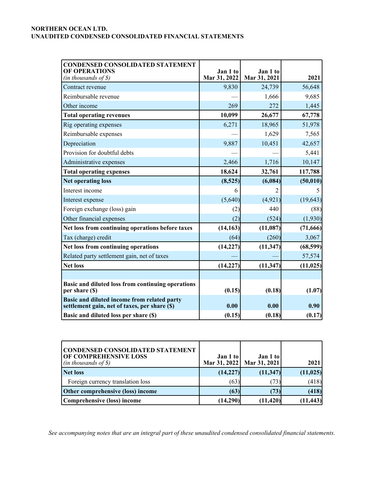| <b>CONDENSED CONSOLIDATED STATEMENT</b><br><b>OF OPERATIONS</b><br>$(in$ thousands of $\$$ )  | Jan 1 to<br>Mar 31, 2022 | Jan 1 to<br>Mar 31, 2021 | 2021      |
|-----------------------------------------------------------------------------------------------|--------------------------|--------------------------|-----------|
| Contract revenue                                                                              | 9,830                    | 24,739                   | 56,648    |
| Reimbursable revenue                                                                          |                          | 1,666                    | 9,685     |
| Other income                                                                                  | 269                      | 272                      | 1,445     |
| <b>Total operating revenues</b>                                                               | 10,099                   | 26,677                   | 67,778    |
| Rig operating expenses                                                                        | 6,271                    | 18,965                   | 51,978    |
| Reimbursable expenses                                                                         |                          | 1,629                    | 7,565     |
| Depreciation                                                                                  | 9,887                    | 10,451                   | 42,657    |
| Provision for doubtful debts                                                                  |                          |                          | 5,441     |
| Administrative expenses                                                                       | 2,466                    | 1,716                    | 10,147    |
| <b>Total operating expenses</b>                                                               | 18,624                   | 32,761                   | 117,788   |
| <b>Net operating loss</b>                                                                     | (8,525)                  | (6,084)                  | (50, 010) |
| Interest income                                                                               | 6                        |                          | 5         |
| Interest expense                                                                              | (5,640)                  | (4,921)                  | (19, 643) |
| Foreign exchange (loss) gain                                                                  | (2)                      | 440                      | (88)      |
| Other financial expenses                                                                      | (2)                      | (524)                    | (1,930)   |
| Net loss from continuing operations before taxes                                              | (14, 163)                | (11,087)                 | (71,666)  |
| Tax (charge) credit                                                                           | (64)                     | (260)                    | 3,067     |
| Net loss from continuing operations                                                           | (14, 227)                | (11, 347)                | (68, 599) |
| Related party settlement gain, net of taxes                                                   |                          |                          | 57,574    |
| <b>Net loss</b>                                                                               | (14, 227)                | (11, 347)                | (11, 025) |
|                                                                                               |                          |                          |           |
| Basic and diluted loss from continuing operations<br>per share (\$)                           | (0.15)                   | (0.18)                   | (1.07)    |
| Basic and diluted income from related party<br>settlement gain, net of taxes, per share $(s)$ | 0.00                     | 0.00                     | 0.90      |
| Basic and diluted loss per share (\$)                                                         | (0.15)                   | (0.18)                   | (0.17)    |

| CONDENSED CONSOLIDATED STATEMENT<br><b>OF COMPREHENSIVE LOSS</b><br>$(in$ thousands of $\mathcal{S})$ | Jan 1 to | Jan 1 to<br>Mar 31, 2022   Mar 31, 2021 | 2021      |
|-------------------------------------------------------------------------------------------------------|----------|-----------------------------------------|-----------|
| Net loss                                                                                              | (14,227) | (11, 347)                               | (11, 025) |
| Foreign currency translation loss                                                                     | (63)     | (73)                                    | (418)     |
| Other comprehensive (loss) income                                                                     | (63)     | (73)                                    | (418)     |
| Comprehensive (loss) income                                                                           | (14,290) | (11, 420)                               | (11, 443) |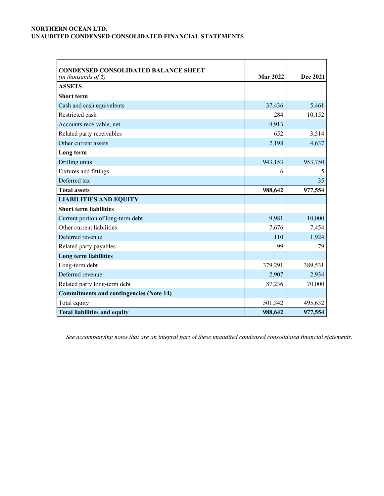| <b>CONDENSED CONSOLIDATED BALANCE SHEET</b>    |                 |          |
|------------------------------------------------|-----------------|----------|
| (in thousands of \$)                           | <b>Mar 2022</b> | Dec 2021 |
| <b>ASSETS</b>                                  |                 |          |
| <b>Short term</b>                              |                 |          |
| Cash and cash equivalents                      | 37,436          | 5,461    |
| Restricted cash                                | 284             | 10,152   |
| Accounts receivable, net                       | 4,913           |          |
| Related party receivables                      | 652             | 3,514    |
| Other current assets                           | 2,198           | 4,637    |
| Long term                                      |                 |          |
| Drilling units                                 | 943,153         | 953,750  |
| Fixtures and fittings                          | 6               | 5        |
| Deferred tax                                   |                 | 35       |
| <b>Total assets</b>                            | 988,642         | 977,554  |
| <b>LIABILITIES AND EQUITY</b>                  |                 |          |
| <b>Short term liabilities</b>                  |                 |          |
| Current portion of long-term debt              | 9,981           | 10,000   |
| Other current liabilities                      | 7,676           | 7,454    |
| Deferred revenue                               | 110             | 1,924    |
| Related party payables                         | 99              | 79       |
| <b>Long term liabilities</b>                   |                 |          |
| Long-term debt                                 | 379,291         | 389,531  |
| Deferred revenue                               | 2,907           | 2,934    |
| Related party long-term debt                   | 87,236          | 70,000   |
| <b>Commitments and contingencies (Note 14)</b> |                 |          |
| Total equity                                   | 501,342         | 495,632  |
| <b>Total liabilities and equity</b>            | 988,642         | 977,554  |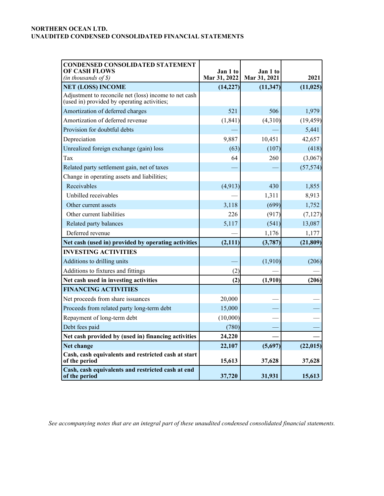| <b>CONDENSED CONSOLIDATED STATEMENT</b><br><b>OF CASH FLOWS</b><br>$(in$ thousands of $\$$ )         | Jan 1 to<br>Mar 31, 2022 | Jan 1 to<br>Mar 31, 2021 | 2021      |
|------------------------------------------------------------------------------------------------------|--------------------------|--------------------------|-----------|
| <b>NET (LOSS) INCOME</b>                                                                             | (14, 227)                | (11, 347)                | (11, 025) |
| Adjustment to reconcile net (loss) income to net cash<br>(used in) provided by operating activities; |                          |                          |           |
| Amortization of deferred charges                                                                     | 521                      | 506                      | 1,979     |
| Amortization of deferred revenue                                                                     | (1, 841)                 | (4,310)                  | (19, 459) |
| Provision for doubtful debts                                                                         |                          |                          | 5,441     |
| Depreciation                                                                                         | 9,887                    | 10,451                   | 42,657    |
| Unrealized foreign exchange (gain) loss                                                              | (63)                     | (107)                    | (418)     |
| Tax                                                                                                  | 64                       | 260                      | (3,067)   |
| Related party settlement gain, net of taxes                                                          |                          |                          | (57, 574) |
| Change in operating assets and liabilities;                                                          |                          |                          |           |
| Receivables                                                                                          | (4, 913)                 | 430                      | 1,855     |
| Unbilled receivables                                                                                 |                          | 1,311                    | 8,913     |
| Other current assets                                                                                 | 3,118                    | (699)                    | 1,752     |
| Other current liabilities                                                                            | 226                      | (917)                    | (7, 127)  |
| Related party balances                                                                               | 5,117                    | (541)                    | 13,087    |
| Deferred revenue                                                                                     |                          | 1,176                    | 1,177     |
| Net cash (used in) provided by operating activities                                                  | (2, 111)                 | (3,787)                  | (21, 809) |
| <b>INVESTING ACTIVITIES</b>                                                                          |                          |                          |           |
| Additions to drilling units                                                                          |                          | (1,910)                  | (206)     |
| Additions to fixtures and fittings                                                                   | (2)                      |                          |           |
| Net cash used in investing activities                                                                | (2)                      | (1,910)                  | (206)     |
| <b>FINANCING ACTIVITIES</b>                                                                          |                          |                          |           |
| Net proceeds from share issuances                                                                    | 20,000                   |                          |           |
| Proceeds from related party long-term debt                                                           | 15,000                   |                          |           |
| Repayment of long-term debt                                                                          | (10,000)                 |                          |           |
| Debt fees paid                                                                                       | (780)                    |                          |           |
| Net cash provided by (used in) financing activities                                                  | 24,220                   |                          |           |
| Net change                                                                                           | 22,107                   | (5,697)                  | (22, 015) |
| Cash, cash equivalents and restricted cash at start<br>of the period                                 | 15,613                   | 37,628                   | 37,628    |
| Cash, cash equivalents and restricted cash at end<br>of the period                                   | 37,720                   | 31,931                   | 15,613    |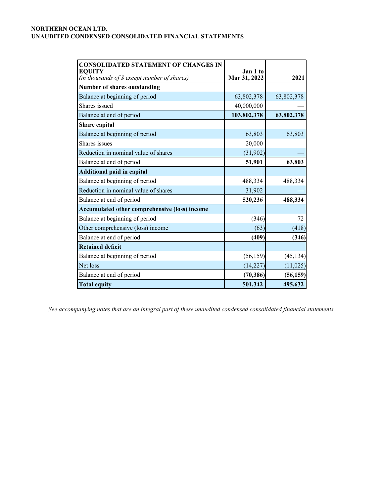| <b>CONSOLIDATED STATEMENT OF CHANGES IN</b><br><b>EOUITY</b><br>(in thousands of \$ except number of shares) | Jan 1 to<br>Mar 31, 2022 | 2021       |
|--------------------------------------------------------------------------------------------------------------|--------------------------|------------|
| <b>Number of shares outstanding</b>                                                                          |                          |            |
| Balance at beginning of period                                                                               | 63,802,378               | 63,802,378 |
| Shares issued                                                                                                | 40,000,000               |            |
| Balance at end of period                                                                                     | 103,802,378              | 63,802,378 |
| Share capital                                                                                                |                          |            |
| Balance at beginning of period                                                                               | 63,803                   | 63,803     |
| Shares issues                                                                                                | 20,000                   |            |
| Reduction in nominal value of shares                                                                         | (31, 902)                |            |
| Balance at end of period                                                                                     | 51,901                   | 63,803     |
| <b>Additional paid in capital</b>                                                                            |                          |            |
| Balance at beginning of period                                                                               | 488,334                  | 488,334    |
| Reduction in nominal value of shares                                                                         | 31,902                   |            |
| Balance at end of period                                                                                     | 520,236                  | 488,334    |
| <b>Accumulated other comprehensive (loss) income</b>                                                         |                          |            |
| Balance at beginning of period                                                                               | (346)                    | 72         |
| Other comprehensive (loss) income                                                                            | (63)                     | (418)      |
| Balance at end of period                                                                                     | (409)                    | (346)      |
| <b>Retained deficit</b>                                                                                      |                          |            |
| Balance at beginning of period                                                                               | (56, 159)                | (45, 134)  |
| Net loss                                                                                                     | (14, 227)                | (11, 025)  |
| Balance at end of period                                                                                     | (70, 386)                | (56, 159)  |
| <b>Total equity</b>                                                                                          | 501,342                  | 495,632    |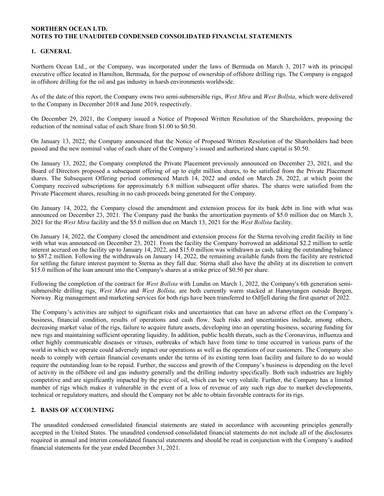# **1. GENERAL**

Northern Ocean Ltd., or the Company, was incorporated under the laws of Bermuda on March 3, 2017 with its principal executive office located in Hamilton, Bermuda, for the purpose of ownership of offshore drilling rigs. The Company is engaged in offshore drilling for the oil and gas industry in harsh environments worldwide.

As of the date of this report, the Company owns two semi-submersible rigs, *West Mira* and *West Bollsta*, which were delivered to the Company in December 2018 and June 2019, respectively.

On December 29, 2021, the Company issued a Notice of Proposed Written Resolution of the Shareholders, proposing the reduction of the nominal value of each Share from \$1.00 to \$0.50.

On January 13, 2022, the Company announced that the Notice of Proposed Written Resolution of the Shareholders had been passed and the new nominal value of each share of the Company's issued and authorized share capital is \$0.50.

On January 13, 2022, the Company completed the Private Placement previously announced on December 23, 2021, and the Board of Directors proposed a subsequent offering of up to eight million shares, to be satisfied from the Private Placement shares. The Subsequent Offering period commenced March 14, 2022 and ended on March 28, 2022, at which point the Company received subscriptions for approximately 6.8 million subsequent offer shares. The shares were satisfied from the Private Placement shares, resulting in no cash proceeds being generated for the Company.

On January 14, 2022, the Company closed the amendment and extension process for its bank debt in line with what was announced on December 23, 2021. The Company paid the banks the amortization payments of \$5.0 million due on March 3, 2021 for the *West Mira* facility and the \$5.0 million due on March 13, 2021 for the *West Bollsta* facility.

On January 14, 2022, the Company closed the amendment and extension process for the Sterna revolving credit facility in line with what was announced on December 23, 2021. From the facility the Company borrowed an additional \$2.2 million to settle interest accrued on the facility up to January 14, 2022, and \$15.0 million was withdrawn as cash, taking the outstanding balance to \$87.2 million. Following the withdrawals on January 14, 2022, the remaining available funds from the facility are restricted for settling the future interest payment to Sterna as they fall due. Sterna shall also have the ability at its discretion to convert \$15.0 million of the loan amount into the Company's shares at a strike price of \$0.50 per share.

Following the completion of the contract for *West Bollsta* with Lundin on March 1, 2022, the Company's 6th generation semisubmersible drilling rigs, *West Mira* and *West Bollsta,* are both currently warm stacked at Hanøytangen outside Bergen, Norway. Rig management and marketing services for both rigs have been transferred to Odfjell during the first quarter of 2022.

The Company's activities are subject to significant risks and uncertainties that can have an adverse effect on the Company's business, financial condition, results of operations and cash flow. Such risks and uncertainties include, among others, decreasing market value of the rigs, failure to acquire future assets, developing into an operating business, securing funding for new rigs and maintaining sufficient operating liquidity. In addition, public health threats, such as the Coronavirus, influenza and other highly communicable diseases or viruses, outbreaks of which have from time to time occurred in various parts of the world in which we operate could adversely impact our operations as well as the operations of our customers. The Company also needs to comply with certain financial covenants under the terms of its existing term loan facility and failure to do so would require the outstanding loan to be repaid. Further, the success and growth of the Company's business is depending on the level of activity in the offshore oil and gas industry generally and the drilling industry specifically. Both such industries are highly competitive and are significantly impacted by the price of oil, which can be very volatile. Further, the Company has a limited number of rigs which makes it vulnerable in the event of a loss of revenue of any such rigs due to market developments, technical or regulatory matters, and should the Company not be able to obtain favorable contracts for its rigs.

### **2. BASIS OF ACCOUNTING**

The unaudited condensed consolidated financial statements are stated in accordance with accounting principles generally accepted in the United States. The unaudited condensed consolidated financial statements do not include all of the disclosures required in annual and interim consolidated financial statements and should be read in conjunction with the Company's audited financial statements for the year ended December 31, 2021.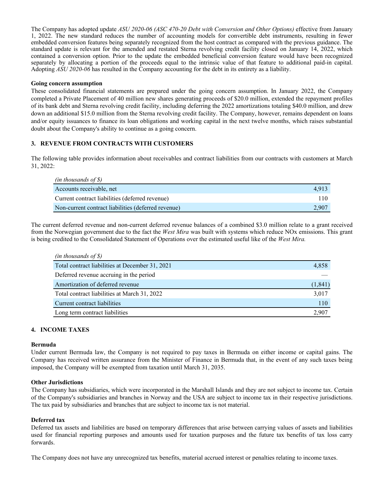The Company has adopted update *ASU 2020-06 (ASC 470-20 Debt with Conversion and Other Options)* effective from January 1, 2022. The new standard reduces the number of accounting models for convertible debt instruments, resulting in fewer embedded conversion features being separately recognized from the host contract as compared with the previous guidance. The standard update is relevant for the amended and restated Sterna revolving credit facility closed on January 14, 2022, which contained a conversion option. Prior to the update the embedded beneficial conversion feature would have been recognized separately by allocating a portion of the proceeds equal to the intrinsic value of that feature to additional paid-in capital. Adopting *ASU 2020-06* has resulted in the Company accounting for the debt in its entirety as a liability.

#### **Going concern assumption**

These consolidated financial statements are prepared under the going concern assumption. In January 2022, the Company completed a Private Placement of 40 million new shares generating proceeds of \$20.0 million, extended the repayment profiles of its bank debt and Sterna revolving credit facility, including deferring the 2022 amortizations totaling \$40.0 million, and drew down an additional \$15.0 million from the Sterna revolving credit facility. The Company, however, remains dependent on loans and/or equity issuances to finance its loan obligations and working capital in the next twelve months, which raises substantial doubt about the Company's ability to continue as a going concern.

### **3. REVENUE FROM CONTRACTS WITH CUSTOMERS**

The following table provides information about receivables and contract liabilities from our contracts with customers at March 31, 2022:

| (in thousands of $\mathcal S$ )                     |       |
|-----------------------------------------------------|-------|
| Accounts receivable, net                            | 4.913 |
| Current contract liabilities (deferred revenue)     | 110   |
| Non-current contract liabilities (deferred revenue) | 2.907 |

The current deferred revenue and non-current deferred revenue balances of a combined \$3.0 million relate to a grant received from the Norwegian government due to the fact the *West Mira* was built with systems which reduce NOx emissions. This grant is being credited to the Consolidated Statement of Operations over the estimated useful like of the *West Mira.*

| $(in$ thousands of $\mathcal{S})$               |          |
|-------------------------------------------------|----------|
| Total contract liabilities at December 31, 2021 | 4,858    |
| Deferred revenue accruing in the period         |          |
| Amortization of deferred revenue                | (1, 841) |
| Total contract liabilities at March 31, 2022    | 3,017    |
| Current contract liabilities                    | 110      |
| Long term contract liabilities                  | 2.907    |

### **4. INCOME TAXES**

#### **Bermuda**

Under current Bermuda law, the Company is not required to pay taxes in Bermuda on either income or capital gains. The Company has received written assurance from the Minister of Finance in Bermuda that, in the event of any such taxes being imposed, the Company will be exempted from taxation until March 31, 2035.

#### **Other Jurisdictions**

The Company has subsidiaries, which were incorporated in the Marshall Islands and they are not subject to income tax. Certain of the Company's subsidiaries and branches in Norway and the USA are subject to income tax in their respective jurisdictions. The tax paid by subsidiaries and branches that are subject to income tax is not material.

#### **Deferred tax**

Deferred tax assets and liabilities are based on temporary differences that arise between carrying values of assets and liabilities used for financial reporting purposes and amounts used for taxation purposes and the future tax benefits of tax loss carry forwards.

The Company does not have any unrecognized tax benefits, material accrued interest or penalties relating to income taxes.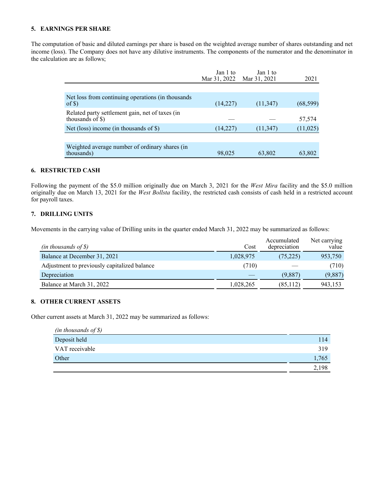# **5. EARNINGS PER SHARE**

The computation of basic and diluted earnings per share is based on the weighted average number of shares outstanding and net income (loss). The Company does not have any dilutive instruments. The components of the numerator and the denominator in the calculation are as follows;

|                                                                                 | Jan 1 to<br>Mar 31, 2022 | Jan 1 to<br>Mar 31, 2021 | 2021      |
|---------------------------------------------------------------------------------|--------------------------|--------------------------|-----------|
|                                                                                 |                          |                          |           |
| Net loss from continuing operations (in thousands<br>of $\mathcal{S}$ )         | (14,227)                 | (11, 347)                | (68, 599) |
| Related party settlement gain, net of taxes (in<br>thousands of $\mathcal{S}$ ) |                          |                          | 57,574    |
| Net (loss) income (in thousands of $\mathcal S$ )                               | (14, 227)                | (11, 347)                | (11, 025) |
|                                                                                 |                          |                          |           |
| Weighted average number of ordinary shares (in<br>thousands)                    | 98,025                   | 63,802                   | 63,802    |

### **6. RESTRICTED CASH**

Following the payment of the \$5.0 million originally due on March 3, 2021 for the *West Mira* facility and the \$5.0 million originally due on March 13, 2021 for the *West Bollsta* facility, the restricted cash consists of cash held in a restricted account for payroll taxes.

### **7. DRILLING UNITS**

Movements in the carrying value of Drilling units in the quarter ended March 31, 2022 may be summarized as follows:

| $(in$ thousands of \$)                       | Cost      | Accumulated<br>depreciation | Net carrying<br>value |
|----------------------------------------------|-----------|-----------------------------|-----------------------|
| Balance at December 31, 2021                 | 1,028,975 | (75, 225)                   | 953,750               |
| Adjustment to previously capitalized balance | (710)     |                             | (710)                 |
| Depreciation                                 |           | (9.887)                     | (9,887)               |
| Balance at March 31, 2022                    | 1,028,265 | (85, 112)                   | 943,153               |

### **8. OTHER CURRENT ASSETS**

Other current assets at March 31, 2022 may be summarized as follows:

| $(in$ thousands of $\mathcal{S})$ |       |
|-----------------------------------|-------|
| Deposit held                      | 114   |
| VAT receivable                    | 319   |
| Other                             | 1,765 |
|                                   | 2.198 |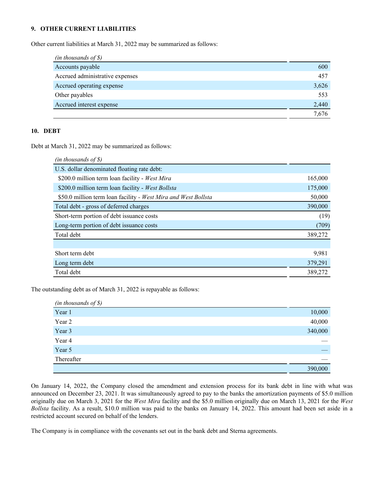### **9. OTHER CURRENT LIABILITIES**

Other current liabilities at March 31, 2022 may be summarized as follows:

| $(in$ thousands of $\mathcal{S})$ |       |
|-----------------------------------|-------|
| Accounts payable                  | 600   |
| Accrued administrative expenses   | 457   |
| Accrued operating expense         | 3,626 |
| Other payables                    | 553   |
| Accrued interest expense          | 2,440 |
|                                   | 7.676 |

# **10. DEBT**

Debt at March 31, 2022 may be summarized as follows:

| $(in$ thousands of \$)                                         |         |
|----------------------------------------------------------------|---------|
| U.S. dollar denominated floating rate debt:                    |         |
| \$200.0 million term loan facility - West Mira                 | 165,000 |
| \$200.0 million term loan facility - West Bollsta              | 175,000 |
| \$50.0 million term loan facility - West Mira and West Bollsta | 50,000  |
| Total debt - gross of deferred charges                         | 390,000 |
| Short-term portion of debt issuance costs                      | (19)    |
| Long-term portion of debt issuance costs                       | (709)   |
| Total debt                                                     | 389,272 |
|                                                                |         |
| Short term debt                                                | 9.981   |
| Long term debt                                                 | 379,291 |
| Total debt                                                     | 389,272 |

The outstanding debt as of March 31, 2022 is repayable as follows:

| $(in$ thousands of $\mathcal{S})$ |         |
|-----------------------------------|---------|
| Year 1                            | 10,000  |
| Year 2                            | 40,000  |
| Year 3                            | 340,000 |
| Year 4                            |         |
| Year 5                            |         |
| Thereafter                        |         |
|                                   | 390,000 |

On January 14, 2022, the Company closed the amendment and extension process for its bank debt in line with what was announced on December 23, 2021. It was simultaneously agreed to pay to the banks the amortization payments of \$5.0 million originally due on March 3, 2021 for the *West Mira* facility and the \$5.0 million originally due on March 13, 2021 for the *West Bollsta* facility. As a result, \$10.0 million was paid to the banks on January 14, 2022. This amount had been set aside in a restricted account secured on behalf of the lenders.

The Company is in compliance with the covenants set out in the bank debt and Sterna agreements.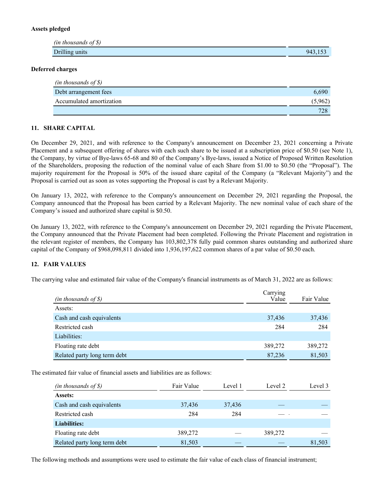### **Assets pledged**

| $(in$ thousands of $\mathcal{S})$ |         |
|-----------------------------------|---------|
| Drilling units                    | ⊌⊿<br>. |

### **Deferred charges**

| (in thousands of $\mathcal S$ ) |         |
|---------------------------------|---------|
| Debt arrangement fees           | 6.690   |
| Accumulated amortization        | (5,962) |
|                                 | 728     |

### **11. SHARE CAPITAL**

On December 29, 2021, and with reference to the Company's announcement on December 23, 2021 concerning a Private Placement and a subsequent offering of shares with each such share to be issued at a subscription price of \$0.50 (see Note 1), the Company, by virtue of Bye-laws 65-68 and 80 of the Company's Bye-laws, issued a Notice of Proposed Written Resolution of the Shareholders, proposing the reduction of the nominal value of each Share from \$1.00 to \$0.50 (the "Proposal"). The majority requirement for the Proposal is 50% of the issued share capital of the Company (a "Relevant Majority") and the Proposal is carried out as soon as votes supporting the Proposal is cast by a Relevant Majority.

On January 13, 2022, with reference to the Company's announcement on December 29, 2021 regarding the Proposal, the Company announced that the Proposal has been carried by a Relevant Majority. The new nominal value of each share of the Company's issued and authorized share capital is \$0.50.

On January 13, 2022, with reference to the Company's announcement on December 29, 2021 regarding the Private Placement, the Company announced that the Private Placement had been completed. Following the Private Placement and registration in the relevant register of members, the Company has 103,802,378 fully paid common shares outstanding and authorized share capital of the Company of \$968,098,811 divided into 1,936,197,622 common shares of a par value of \$0.50 each.

### **12. FAIR VALUES**

The carrying value and estimated fair value of the Company's financial instruments as of March 31, 2022 are as follows:

| $(in$ thousands of $\mathcal{S})$ | Carrying<br>Value | Fair Value |
|-----------------------------------|-------------------|------------|
| Assets:                           |                   |            |
| Cash and cash equivalents         | 37,436            | 37,436     |
| Restricted cash                   | 284               | 284        |
| Liabilities:                      |                   |            |
| Floating rate debt                | 389,272           | 389,272    |
| Related party long term debt      | 87,236            | 81,503     |

The estimated fair value of financial assets and liabilities are as follows:

| $(in$ thousands of $\mathcal{S})$ | Fair Value | Level 1 | Level 2 | Level 3 |
|-----------------------------------|------------|---------|---------|---------|
| Assets:                           |            |         |         |         |
| Cash and cash equivalents         | 37,436     | 37,436  |         |         |
| Restricted cash                   | 284        | 284     |         |         |
| <b>Liabilities:</b>               |            |         |         |         |
| Floating rate debt                | 389,272    |         | 389,272 |         |
| Related party long term debt      | 81,503     |         |         | 81,503  |

The following methods and assumptions were used to estimate the fair value of each class of financial instrument;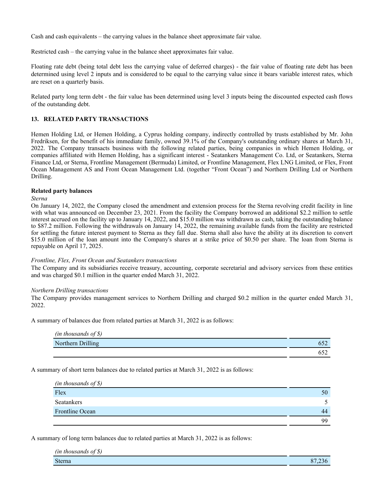Cash and cash equivalents – the carrying values in the balance sheet approximate fair value.

Restricted cash – the carrying value in the balance sheet approximates fair value.

Floating rate debt (being total debt less the carrying value of deferred charges) - the fair value of floating rate debt has been determined using level 2 inputs and is considered to be equal to the carrying value since it bears variable interest rates, which are reset on a quarterly basis.

Related party long term debt - the fair value has been determined using level 3 inputs being the discounted expected cash flows of the outstanding debt.

# **13. RELATED PARTY TRANSACTIONS**

Hemen Holding Ltd, or Hemen Holding, a Cyprus holding company, indirectly controlled by trusts established by Mr. John Fredriksen, for the benefit of his immediate family, owned 39.1% of the Company's outstanding ordinary shares at March 31, 2022. The Company transacts business with the following related parties, being companies in which Hemen Holding, or companies affiliated with Hemen Holding, has a significant interest - Seatankers Management Co. Ltd, or Seatankers, Sterna Finance Ltd, or Sterna, Frontline Management (Bermuda) Limited, or Frontline Management, Flex LNG Limited, or Flex, Front Ocean Management AS and Front Ocean Management Ltd. (together "Front Ocean") and Northern Drilling Ltd or Northern Drilling.

#### **Related party balances**

*Sterna*

On January 14, 2022, the Company closed the amendment and extension process for the Sterna revolving credit facility in line with what was announced on December 23, 2021. From the facility the Company borrowed an additional \$2.2 million to settle interest accrued on the facility up to January 14, 2022, and \$15.0 million was withdrawn as cash, taking the outstanding balance to \$87.2 million. Following the withdrawals on January 14, 2022, the remaining available funds from the facility are restricted for settling the future interest payment to Sterna as they fall due. Sterna shall also have the ability at its discretion to convert \$15.0 million of the loan amount into the Company's shares at a strike price of \$0.50 per share. The loan from Sterna is repayable on April 17, 2025.

#### *Frontline, Flex, Front Ocean and Seatankers transactions*

The Company and its subsidiaries receive treasury, accounting, corporate secretarial and advisory services from these entities and was charged \$0.1 million in the quarter ended March 31, 2022.

#### *Northern Drilling transactions*

The Company provides management services to Northern Drilling and charged \$0.2 million in the quarter ended March 31, 2022.

A summary of balances due from related parties at March 31, 2022 is as follows:

| $(in$ thousands of \$) |  |
|------------------------|--|
| Northern Drilling      |  |
|                        |  |

A summary of short term balances due to related parties at March 31, 2022 is as follows:

| $(in$ thousands of \$) |    |
|------------------------|----|
| Flex                   | 50 |
| Seatankers             |    |
| Frontline Ocean        | 44 |
|                        | 99 |

A summary of long term balances due to related parties at March 31, 2022 is as follows:

| cφ<br>(in thousands of $\S$ ) |                           |
|-------------------------------|---------------------------|
| Sterna                        | $\Omega$ .<br>Ο.<br>' ZJU |